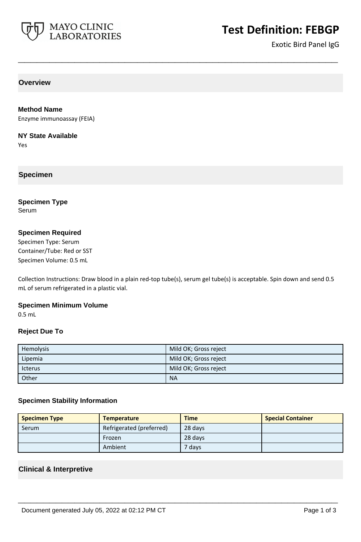

# **Test Definition: FEBGP**

Exotic Bird Panel IgG

**Overview**

#### **Method Name**

Enzyme immunoassay (FEIA)

#### **NY State Available**

Yes

## **Specimen**

# **Specimen Type**

Serum

## **Specimen Required**

Specimen Type: Serum Container/Tube: Red or SST Specimen Volume: 0.5 mL

Collection Instructions: Draw blood in a plain red-top tube(s), serum gel tube(s) is acceptable. Spin down and send 0.5 mL of serum refrigerated in a plastic vial.

**\_\_\_\_\_\_\_\_\_\_\_\_\_\_\_\_\_\_\_\_\_\_\_\_\_\_\_\_\_\_\_\_\_\_\_\_\_\_\_\_\_\_\_\_\_\_\_\_\_\_\_**

#### **Specimen Minimum Volume**

0.5 mL

#### **Reject Due To**

| Hemolysis      | Mild OK; Gross reject |
|----------------|-----------------------|
| Lipemia        | Mild OK; Gross reject |
| <b>Icterus</b> | Mild OK; Gross reject |
| Other          | <b>NA</b>             |

#### **Specimen Stability Information**

| <b>Specimen Type</b> | <b>Temperature</b>       | <b>Time</b> | <b>Special Container</b> |
|----------------------|--------------------------|-------------|--------------------------|
| Serum                | Refrigerated (preferred) | 28 days     |                          |
|                      | Frozen                   | 28 days     |                          |
|                      | Ambient                  | 7 daysi     |                          |

**\_\_\_\_\_\_\_\_\_\_\_\_\_\_\_\_\_\_\_\_\_\_\_\_\_\_\_\_\_\_\_\_\_\_\_\_\_\_\_\_\_\_\_\_\_\_\_\_\_\_\_**

#### **Clinical & Interpretive**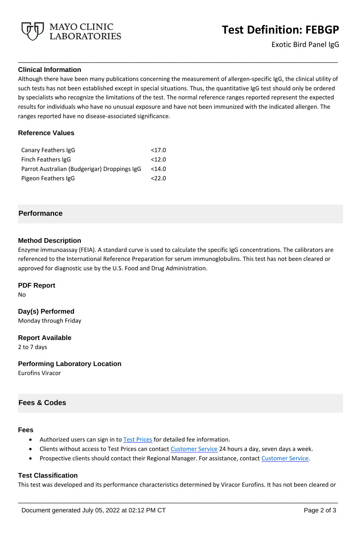

## **Clinical Information**

Although there have been many publications concerning the measurement of allergen-specific IgG, the clinical utility of such tests has not been established except in special situations. Thus, the quantitative IgG test should only be ordered by specialists who recognize the limitations of the test. The normal reference ranges reported represent the expected results for individuals who have no unusual exposure and have not been immunized with the indicated allergen. The ranges reported have no disease-associated significance.

**\_\_\_\_\_\_\_\_\_\_\_\_\_\_\_\_\_\_\_\_\_\_\_\_\_\_\_\_\_\_\_\_\_\_\_\_\_\_\_\_\_\_\_\_\_\_\_\_\_\_\_**

#### **Reference Values**

| Canary Feathers IgG                          | <17.0    |
|----------------------------------------------|----------|
| Finch Feathers IgG                           | <12.0    |
| Parrot Australian (Budgerigar) Droppings IgG | $<$ 14.0 |
| Pigeon Feathers IgG                          | 22.0     |

## **Performance**

#### **Method Description**

Enzyme immunoassay (FEIA). A standard curve is used to calculate the specific IgG concentrations. The calibrators are referenced to the International Reference Preparation for serum immunoglobulins. This test has not been cleared or approved for diagnostic use by the U.S. Food and Drug Administration.

#### **PDF Report**

No

**Day(s) Performed** Monday through Friday

**Report Available** 2 to 7 days

**Performing Laboratory Location**

Eurofins Viracor

# **Fees & Codes**

#### **Fees**

- Authorized users can sign in to [Test Prices](https://www.mayocliniclabs.com/customer-service/client-price-lookup/index.html?unit_code=FEBGP) for detailed fee information.
- Clients without access to Test Prices can contact [Customer Service](http://www.mayocliniclabs.com/customer-service/contacts.html) 24 hours a day, seven days a week.
- **Prospective clients should contact their Regional Manager. For assistance, contact [Customer Service.](http://www.mayocliniclabs.com/customer-service/contacts.html)**

#### **Test Classification**

This test was developed and its performance characteristics determined by Viracor Eurofins. It has not been cleared or

**\_\_\_\_\_\_\_\_\_\_\_\_\_\_\_\_\_\_\_\_\_\_\_\_\_\_\_\_\_\_\_\_\_\_\_\_\_\_\_\_\_\_\_\_\_\_\_\_\_\_\_**